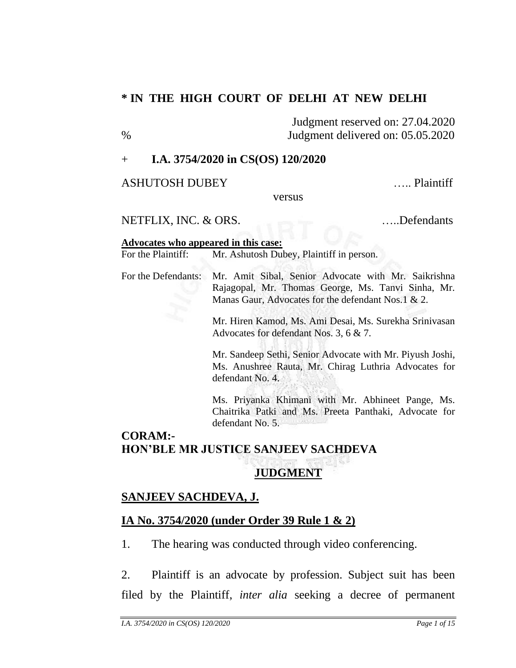## **\* IN THE HIGH COURT OF DELHI AT NEW DELHI**

Judgment reserved on: 27.04.2020 % Judgment delivered on: 05.05.2020

### + **I.A. 3754/2020 in CS(OS) 120/2020**

ASHUTOSH DUBEY ….. Plaintiff

versus

NETFLIX, INC. & ORS. …..Defendants

#### **Advocates who appeared in this case:**

For the Plaintiff: Mr. Ashutosh Dubey, Plaintiff in person.

For the Defendants: Mr. Amit Sibal, Senior Advocate with Mr. Saikrishna Rajagopal, Mr. Thomas George, Ms. Tanvi Sinha, Mr. Manas Gaur, Advocates for the defendant Nos.1 & 2.

> Mr. Hiren Kamod, Ms. Ami Desai, Ms. Surekha Srinivasan Advocates for defendant Nos. 3, 6 & 7.

> Mr. Sandeep Sethi, Senior Advocate with Mr. Piyush Joshi, Ms. Anushree Rauta, Mr. Chirag Luthria Advocates for defendant No. 4.

> Ms. Priyanka Khimani with Mr. Abhineet Pange, Ms. Chaitrika Patki and Ms. Preeta Panthaki, Advocate for defendant No. 5.

# **CORAM:- HON'BLE MR JUSTICE SANJEEV SACHDEVA**

# **JUDGMENT**

# **SANJEEV SACHDEVA, J.**

# **IA No. 3754/2020 (under Order 39 Rule 1 & 2)**

1. The hearing was conducted through video conferencing.

2. Plaintiff is an advocate by profession. Subject suit has been filed by the Plaintiff, *inter alia* seeking a decree of permanent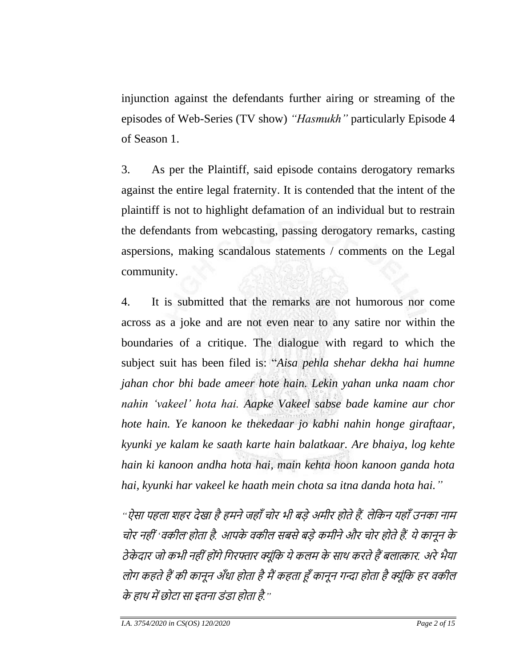injunction against the defendants further airing or streaming of the episodes of Web-Series (TV show) *"Hasmukh"* particularly Episode 4 of Season 1.

3. As per the Plaintiff, said episode contains derogatory remarks against the entire legal fraternity. It is contended that the intent of the plaintiff is not to highlight defamation of an individual but to restrain the defendants from webcasting, passing derogatory remarks, casting aspersions, making scandalous statements / comments on the Legal community.

4. It is submitted that the remarks are not humorous nor come across as a joke and are not even near to any satire nor within the boundaries of a critique. The dialogue with regard to which the subject suit has been filed is: "*Aisa pehla shehar dekha hai humne jahan chor bhi bade ameer hote hain. Lekin yahan unka naam chor nahin 'vakeel' hota hai. Aapke Vakeel sabse bade kamine aur chor hote hain. Ye kanoon ke thekedaar jo kabhi nahin honge giraftaar, kyunki ye kalam ke saath karte hain balatkaar. Are bhaiya, log kehte hain ki kanoon andha hota hai, main kehta hoon kanoon ganda hota hai, kyunki har vakeel ke haath mein chota sa itna danda hota hai."*

*"*ऐसा पहला शहर देखा हैहमनेजहााँचोर भी बड़ेअमीर होतेहैं*.* लेकिन यहााँउनिा नाम चोर नही ीं*'*विील*'*होता है*.* आपिे विील सबसेबड़ेिमीनेऔर चोर होतेहैं*.* येिानून िे ठे िे दार जो िभी नही ींहोींगेकगरफ्तार क्ूींकि येिलम िे साथ िरतेहैंबलात्कार*.* अरेभैया लोग कहते हैं की कानून अँधा होता है मैं कहता हूँ कानून गन्दा होता है क्यूंकि हर वकील िे हाथ मेंछोटा सा इतना डींडा होता है*."*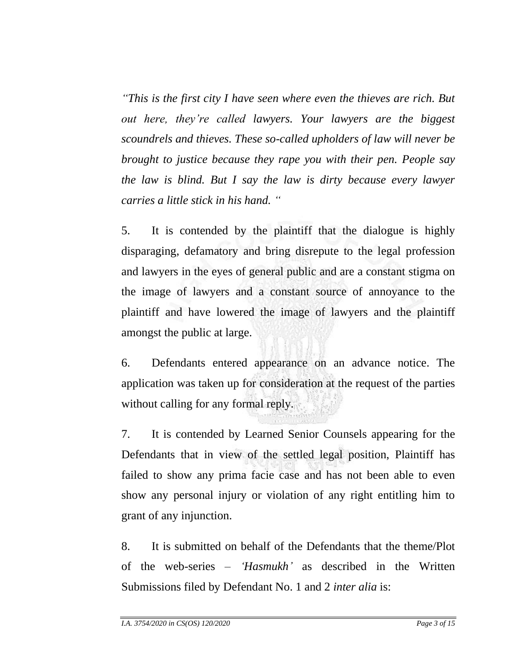*"This is the first city I have seen where even the thieves are rich. But out here, they're called lawyers. Your lawyers are the biggest scoundrels and thieves. These so-called upholders of law will never be brought to justice because they rape you with their pen. People say the law is blind. But I say the law is dirty because every lawyer carries a little stick in his hand. "*

5. It is contended by the plaintiff that the dialogue is highly disparaging, defamatory and bring disrepute to the legal profession and lawyers in the eyes of general public and are a constant stigma on the image of lawyers and a constant source of annoyance to the plaintiff and have lowered the image of lawyers and the plaintiff amongst the public at large.

6. Defendants entered appearance on an advance notice. The application was taken up for consideration at the request of the parties without calling for any formal reply.

7. It is contended by Learned Senior Counsels appearing for the Defendants that in view of the settled legal position, Plaintiff has failed to show any prima facie case and has not been able to even show any personal injury or violation of any right entitling him to grant of any injunction.

8. It is submitted on behalf of the Defendants that the theme/Plot of the web-series – *'Hasmukh'* as described in the Written Submissions filed by Defendant No. 1 and 2 *inter alia* is: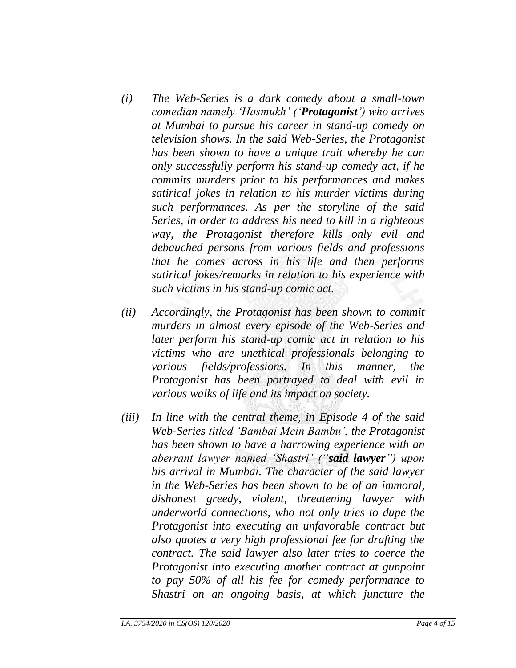- *(i) The Web-Series is a dark comedy about a small-town comedian namely 'Hasmukh' ('Protagonist') who arrives at Mumbai to pursue his career in stand-up comedy on television shows. In the said Web-Series, the Protagonist has been shown to have a unique trait whereby he can only successfully perform his stand-up comedy act, if he commits murders prior to his performances and makes satirical jokes in relation to his murder victims during such performances. As per the storyline of the said Series, in order to address his need to kill in a righteous way, the Protagonist therefore kills only evil and debauched persons from various fields and professions that he comes across in his life and then performs satirical jokes/remarks in relation to his experience with such victims in his stand-up comic act.*
- *(ii) Accordingly, the Protagonist has been shown to commit murders in almost every episode of the Web-Series and later perform his stand-up comic act in relation to his victims who are unethical professionals belonging to various fields/professions. In this manner, the Protagonist has been portrayed to deal with evil in various walks of life and its impact on society.*
- *(iii) In line with the central theme, in Episode 4 of the said Web-Series titled 'Bambai Mein Bambu', the Protagonist has been shown to have a harrowing experience with an aberrant lawyer named 'Shastri' ("said lawyer") upon his arrival in Mumbai. The character of the said lawyer in the Web-Series has been shown to be of an immoral, dishonest greedy, violent, threatening lawyer with underworld connections, who not only tries to dupe the Protagonist into executing an unfavorable contract but also quotes a very high professional fee for drafting the contract. The said lawyer also later tries to coerce the Protagonist into executing another contract at gunpoint to pay 50% of all his fee for comedy performance to Shastri on an ongoing basis, at which juncture the*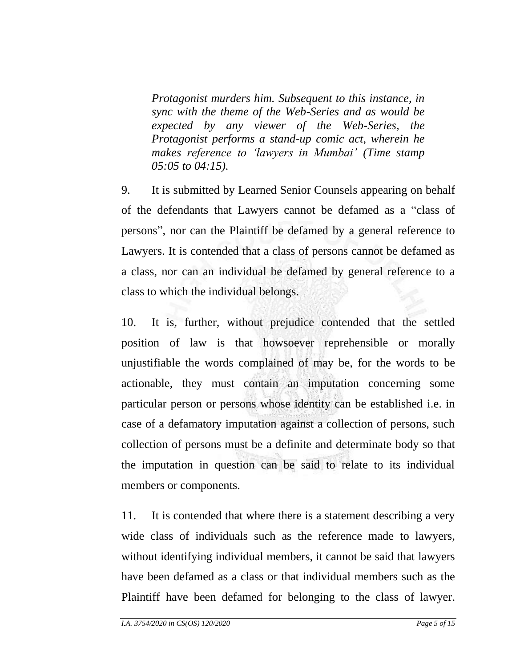*Protagonist murders him. Subsequent to this instance, in sync with the theme of the Web-Series and as would be expected by any viewer of the Web-Series, the Protagonist performs a stand-up comic act, wherein he makes reference to 'lawyers in Mumbai' (Time stamp 05:05 to 04:15).*

9. It is submitted by Learned Senior Counsels appearing on behalf of the defendants that Lawyers cannot be defamed as a "class of persons", nor can the Plaintiff be defamed by a general reference to Lawyers. It is contended that a class of persons cannot be defamed as a class, nor can an individual be defamed by general reference to a class to which the individual belongs.

10. It is, further, without prejudice contended that the settled position of law is that howsoever reprehensible or morally unjustifiable the words complained of may be, for the words to be actionable, they must contain an imputation concerning some particular person or persons whose identity can be established i.e. in case of a defamatory imputation against a collection of persons, such collection of persons must be a definite and determinate body so that the imputation in question can be said to relate to its individual members or components.

11. It is contended that where there is a statement describing a very wide class of individuals such as the reference made to lawyers, without identifying individual members, it cannot be said that lawyers have been defamed as a class or that individual members such as the Plaintiff have been defamed for belonging to the class of lawyer.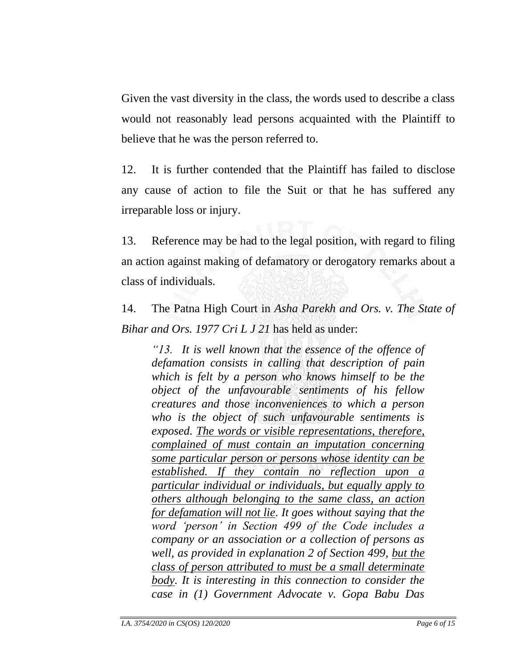Given the vast diversity in the class, the words used to describe a class would not reasonably lead persons acquainted with the Plaintiff to believe that he was the person referred to.

12. It is further contended that the Plaintiff has failed to disclose any cause of action to file the Suit or that he has suffered any irreparable loss or injury.

13. Reference may be had to the legal position, with regard to filing an action against making of defamatory or derogatory remarks about a class of individuals.

14. The Patna High Court in *Asha Parekh and Ors. v. The State of Bihar and Ors. 1977 Cri L J 21* has held as under:

*"13. It is well known that the essence of the offence of defamation consists in calling that description of pain which is felt by a person who knows himself to be the object of the unfavourable sentiments of his fellow creatures and those inconveniences to which a person who is the object of such unfavourable sentiments is exposed. The words or visible representations, therefore, complained of must contain an imputation concerning some particular person or persons whose identity can be established. If they contain no reflection upon a particular individual or individuals, but equally apply to others although belonging to the same class, an action for defamation will not lie. It goes without saying that the word 'person' in Section 499 of the Code includes a company or an association or a collection of persons as well, as provided in explanation 2 of Section 499, but the class of person attributed to must be a small determinate body. It is interesting in this connection to consider the case in (1) Government Advocate v. Gopa Babu Das*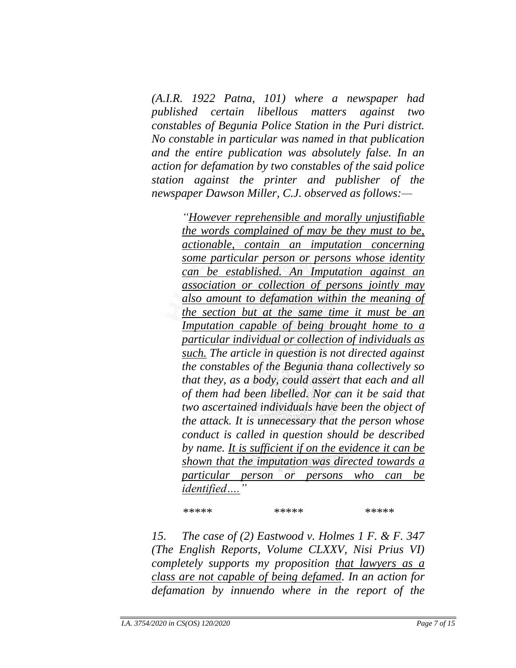*(A.I.R. 1922 Patna, 101) where a newspaper had published certain libellous matters against two constables of Begunia Police Station in the Puri district. No constable in particular was named in that publication and the entire publication was absolutely false. In an action for defamation by two constables of the said police station against the printer and publisher of the newspaper Dawson Miller, C.J. observed as follows:—*

> *"However reprehensible and morally unjustifiable the words complained of may be they must to be, actionable, contain an imputation concerning some particular person or persons whose identity can be established. An Imputation against an association or collection of persons jointly may also amount to defamation within the meaning of the section but at the same time it must be an Imputation capable of being brought home to a particular individual or collection of individuals as such. The article in question is not directed against the constables of the Begunia thana collectively so that they, as a body, could assert that each and all of them had been libelled. Nor can it be said that two ascertained individuals have been the object of the attack. It is unnecessary that the person whose conduct is called in question should be described by name. It is sufficient if on the evidence it can be shown that the imputation was directed towards a particular person or persons who can be identified…."*

*\*\*\*\*\* \*\*\*\*\* \*\*\*\*\**

*15. The case of (2) Eastwood v. Holmes 1 F. & F. 347 (The English Reports, Volume CLXXV, Nisi Prius VI) completely supports my proposition that lawyers as a class are not capable of being defamed. In an action for defamation by innuendo where in the report of the*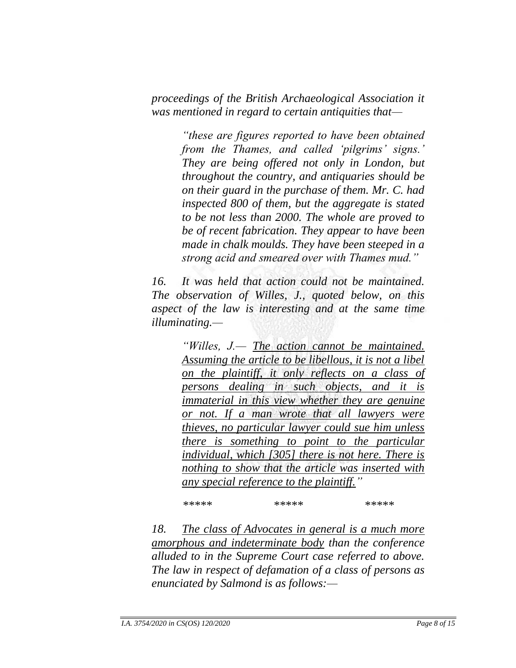*proceedings of the British Archaeological Association it was mentioned in regard to certain antiquities that—*

> *"these are figures reported to have been obtained from the Thames, and called 'pilgrims' signs.' They are being offered not only in London, but throughout the country, and antiquaries should be on their guard in the purchase of them. Mr. C. had inspected 800 of them, but the aggregate is stated to be not less than 2000. The whole are proved to be of recent fabrication. They appear to have been made in chalk moulds. They have been steeped in a strong acid and smeared over with Thames mud."*

*16. It was held that action could not be maintained. The observation of Willes, J., quoted below, on this aspect of the law is interesting and at the same time illuminating.—*

> *"Willes, J.— The action cannot be maintained. Assuming the article to be libellous, it is not a libel on the plaintiff, it only reflects on a class of persons dealing in such objects, and it is immaterial in this view whether they are genuine or not. If a man wrote that all lawyers were thieves, no particular lawyer could sue him unless there is something to point to the particular individual, which [305] there is not here. There is nothing to show that the article was inserted with any special reference to the plaintiff."*

*\*\*\*\*\* \*\*\*\*\* \*\*\*\*\**

*18. The class of Advocates in general is a much more amorphous and indeterminate body than the conference alluded to in the Supreme Court case referred to above. The law in respect of defamation of a class of persons as enunciated by Salmond is as follows:—*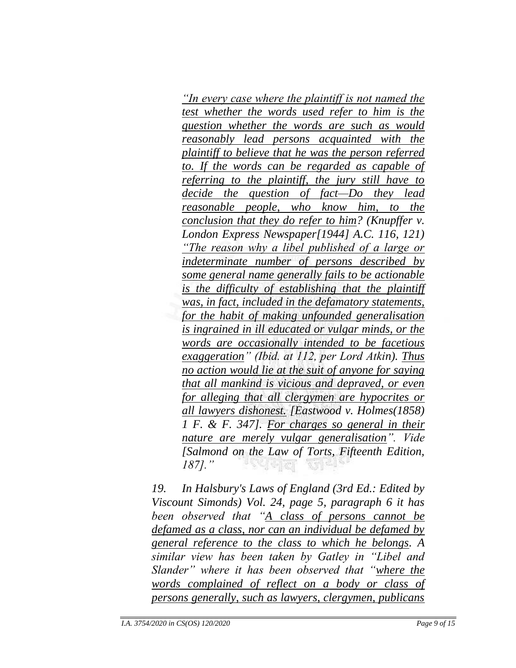*"In every case where the plaintiff is not named the test whether the words used refer to him is the question whether the words are such as would reasonably lead persons acquainted with the plaintiff to believe that he was the person referred to. If the words can be regarded as capable of referring to the plaintiff, the jury still have to decide the question of fact—Do they lead reasonable people, who know him, to the conclusion that they do refer to him? (Knupffer v. London Express Newspaper[1944] A.C. 116, 121) "The reason why a libel published of a large or indeterminate number of persons described by some general name generally fails to be actionable is the difficulty of establishing that the plaintiff was, in fact, included in the defamatory statements, for the habit of making unfounded generalisation is ingrained in ill educated or vulgar minds, or the words are occasionally intended to be facetious exaggeration" (Ibid. at 112, per Lord Atkin). Thus no action would lie at the suit of anyone for saying that all mankind is vicious and depraved, or even for alleging that all clergymen are hypocrites or all lawyers dishonest. [Eastwood v. Holmes(1858) 1 F. & F. 347]. For charges so general in their nature are merely vulgar generalisation". Vide [Salmond on the Law of Torts, Fifteenth Edition, 187]."* 역력제 해석\*

*19. In Halsbury's Laws of England (3rd Ed.: Edited by Viscount Simonds) Vol. 24, page 5, paragraph 6 it has been observed that "A class of persons cannot be defamed as a class, nor can an individual be defamed by general reference to the class to which he belongs. A similar view has been taken by Gatley in "Libel and Slander" where it has been observed that "where the words complained of reflect on a body or class of persons generally, such as lawyers, clergymen, publicans*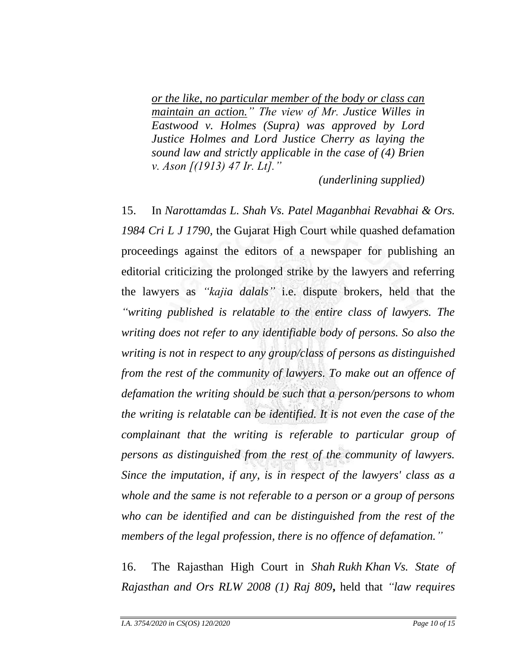*or the like, no particular member of the body or class can maintain an action." The view of Mr. Justice Willes in Eastwood v. Holmes (Supra) was approved by Lord Justice Holmes and Lord Justice Cherry as laying the sound law and strictly applicable in the case of (4) Brien v. Ason [(1913) 47 Ir. Lt]."*

*(underlining supplied)*

15. In *Narottamdas L. Shah Vs. Patel Maganbhai Revabhai & Ors. 1984 Cri L J 1790,* the Gujarat High Court while quashed defamation proceedings against the editors of a newspaper for publishing an editorial criticizing the prolonged strike by the lawyers and referring the lawyers as *"kajia dalals"* i.e. dispute brokers, held that the *"writing published is relatable to the entire class of lawyers. The writing does not refer to any identifiable body of persons. So also the writing is not in respect to any group/class of persons as distinguished from the rest of the community of lawyers. To make out an offence of defamation the writing should be such that a person/persons to whom the writing is relatable can be identified. It is not even the case of the complainant that the writing is referable to particular group of persons as distinguished from the rest of the community of lawyers. Since the imputation, if any, is in respect of the lawyers' class as a whole and the same is not referable to a person or a group of persons who can be identified and can be distinguished from the rest of the members of the legal profession, there is no offence of defamation."*

16. The Rajasthan High Court in *Shah Rukh Khan Vs. State of Rajasthan and Ors RLW 2008 (1) Raj 809***,** held that *"law requires*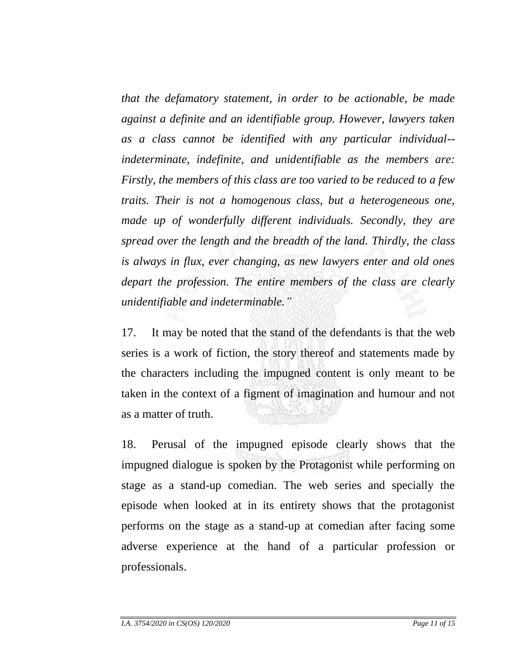*that the defamatory statement, in order to be actionable, be made against a definite and an identifiable group. However, lawyers taken as a class cannot be identified with any particular individual- indeterminate, indefinite, and unidentifiable as the members are: Firstly, the members of this class are too varied to be reduced to a few traits. Their is not a homogenous class, but a heterogeneous one, made up of wonderfully different individuals. Secondly, they are spread over the length and the breadth of the land. Thirdly, the class is always in flux, ever changing, as new lawyers enter and old ones depart the profession. The entire members of the class are clearly unidentifiable and indeterminable."*

17. It may be noted that the stand of the defendants is that the web series is a work of fiction, the story thereof and statements made by the characters including the impugned content is only meant to be taken in the context of a figment of imagination and humour and not as a matter of truth.

18. Perusal of the impugned episode clearly shows that the impugned dialogue is spoken by the Protagonist while performing on stage as a stand-up comedian. The web series and specially the episode when looked at in its entirety shows that the protagonist performs on the stage as a stand-up at comedian after facing some adverse experience at the hand of a particular profession or professionals.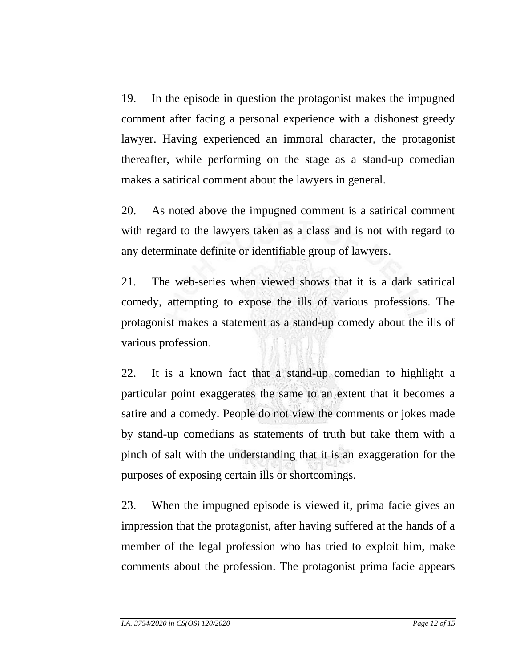19. In the episode in question the protagonist makes the impugned comment after facing a personal experience with a dishonest greedy lawyer. Having experienced an immoral character, the protagonist thereafter, while performing on the stage as a stand-up comedian makes a satirical comment about the lawyers in general.

20. As noted above the impugned comment is a satirical comment with regard to the lawyers taken as a class and is not with regard to any determinate definite or identifiable group of lawyers.

21. The web-series when viewed shows that it is a dark satirical comedy, attempting to expose the ills of various professions. The protagonist makes a statement as a stand-up comedy about the ills of various profession.

22. It is a known fact that a stand-up comedian to highlight a particular point exaggerates the same to an extent that it becomes a satire and a comedy. People do not view the comments or jokes made by stand-up comedians as statements of truth but take them with a pinch of salt with the understanding that it is an exaggeration for the purposes of exposing certain ills or shortcomings.

23. When the impugned episode is viewed it, prima facie gives an impression that the protagonist, after having suffered at the hands of a member of the legal profession who has tried to exploit him, make comments about the profession. The protagonist prima facie appears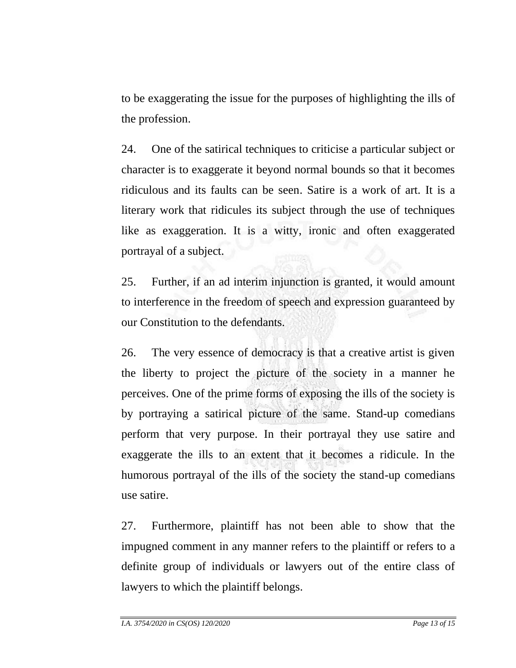to be exaggerating the issue for the purposes of highlighting the ills of the profession.

24. One of the satirical techniques to criticise a particular subject or character is to exaggerate it beyond normal bounds so that it becomes ridiculous and its faults can be seen. Satire is a work of art. It is a literary work that ridicules its subject through the use of techniques like as exaggeration. It is a witty, ironic and often exaggerated portrayal of a subject.

25. Further, if an ad interim injunction is granted, it would amount to interference in the freedom of speech and expression guaranteed by our Constitution to the defendants.

26. The very essence of democracy is that a creative artist is given the liberty to project the picture of the society in a manner he perceives. One of the prime forms of exposing the ills of the society is by portraying a satirical picture of the same. Stand-up comedians perform that very purpose. In their portrayal they use satire and exaggerate the ills to an extent that it becomes a ridicule. In the humorous portrayal of the ills of the society the stand-up comedians use satire.

27. Furthermore, plaintiff has not been able to show that the impugned comment in any manner refers to the plaintiff or refers to a definite group of individuals or lawyers out of the entire class of lawyers to which the plaintiff belongs.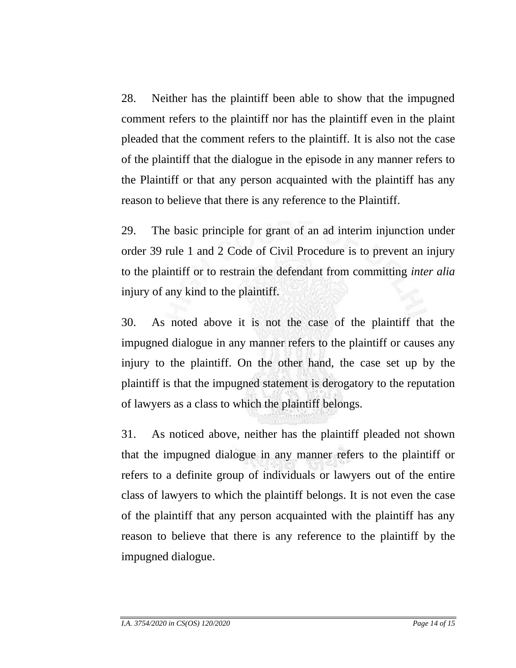28. Neither has the plaintiff been able to show that the impugned comment refers to the plaintiff nor has the plaintiff even in the plaint pleaded that the comment refers to the plaintiff. It is also not the case of the plaintiff that the dialogue in the episode in any manner refers to the Plaintiff or that any person acquainted with the plaintiff has any reason to believe that there is any reference to the Plaintiff.

29. The basic principle for grant of an ad interim injunction under order 39 rule 1 and 2 Code of Civil Procedure is to prevent an injury to the plaintiff or to restrain the defendant from committing *inter alia* injury of any kind to the plaintiff.

30. As noted above it is not the case of the plaintiff that the impugned dialogue in any manner refers to the plaintiff or causes any injury to the plaintiff. On the other hand, the case set up by the plaintiff is that the impugned statement is derogatory to the reputation of lawyers as a class to which the plaintiff belongs.

31. As noticed above, neither has the plaintiff pleaded not shown that the impugned dialogue in any manner refers to the plaintiff or refers to a definite group of individuals or lawyers out of the entire class of lawyers to which the plaintiff belongs. It is not even the case of the plaintiff that any person acquainted with the plaintiff has any reason to believe that there is any reference to the plaintiff by the impugned dialogue.